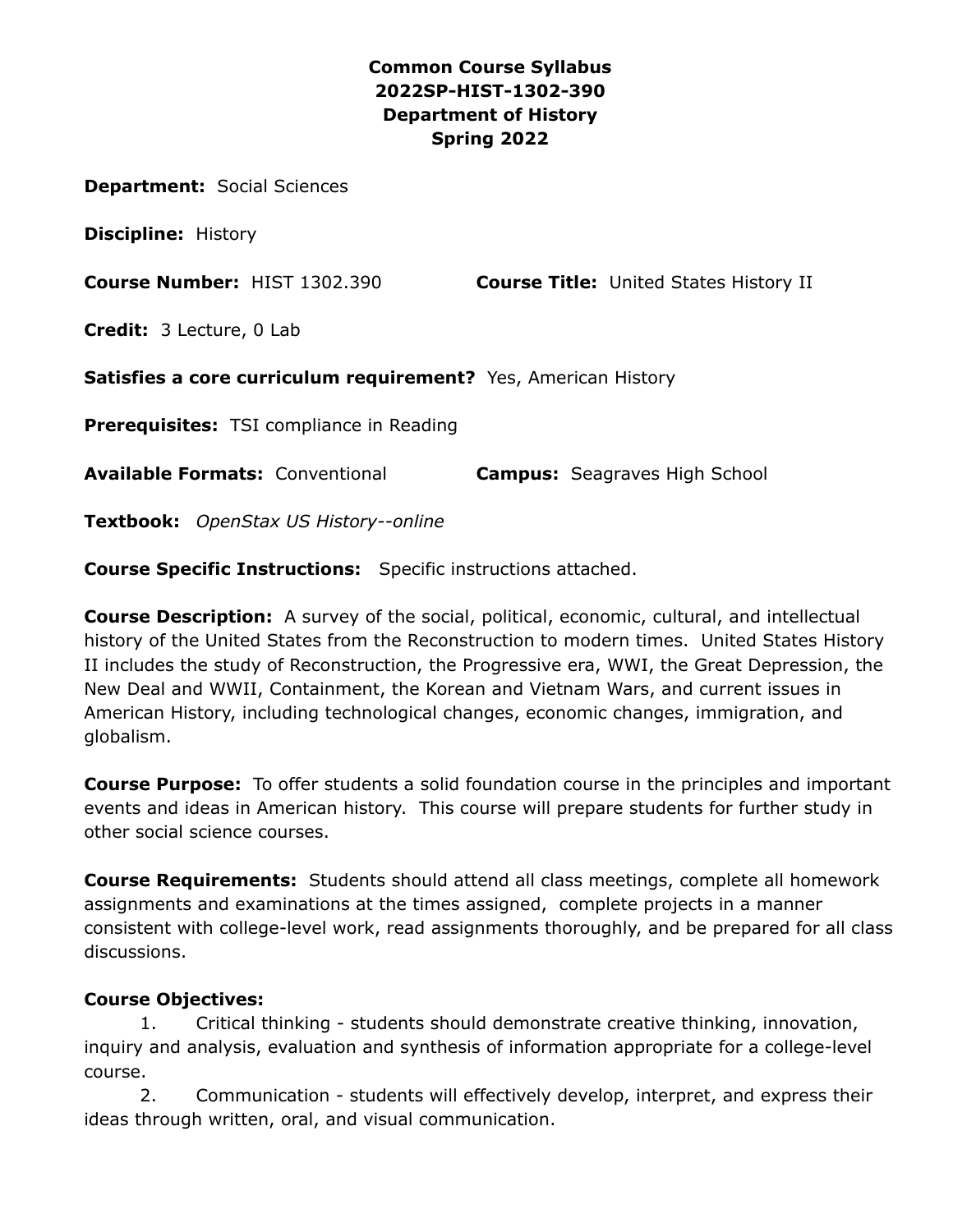## **Common Course Syllabus 2022SP-HIST-1302-390 Department of History Spring 2022**

**Department:** Social Sciences

**Discipline:** History

**Course Number:** HIST 1302.390 **Course Title:** United States History II

**Credit:** 3 Lecture, 0 Lab

**Satisfies a core curriculum requirement?** Yes, American History

**Prerequisites:** TSI compliance in Reading

**Available Formats:** Conventional **Campus:** Seagraves High School

**Textbook:** *OpenStax US History--online*

**Course Specific Instructions:** Specific instructions attached.

**Course Description:** A survey of the social, political, economic, cultural, and intellectual history of the United States from the Reconstruction to modern times. United States History II includes the study of Reconstruction, the Progressive era, WWI, the Great Depression, the New Deal and WWII, Containment, the Korean and Vietnam Wars, and current issues in American History, including technological changes, economic changes, immigration, and globalism.

**Course Purpose:** To offer students a solid foundation course in the principles and important events and ideas in American history. This course will prepare students for further study in other social science courses.

**Course Requirements:** Students should attend all class meetings, complete all homework assignments and examinations at the times assigned, complete projects in a manner consistent with college-level work, read assignments thoroughly, and be prepared for all class discussions.

#### **Course Objectives:**

1. Critical thinking - students should demonstrate creative thinking, innovation, inquiry and analysis, evaluation and synthesis of information appropriate for a college-level course.

2. Communication - students will effectively develop, interpret, and express their ideas through written, oral, and visual communication.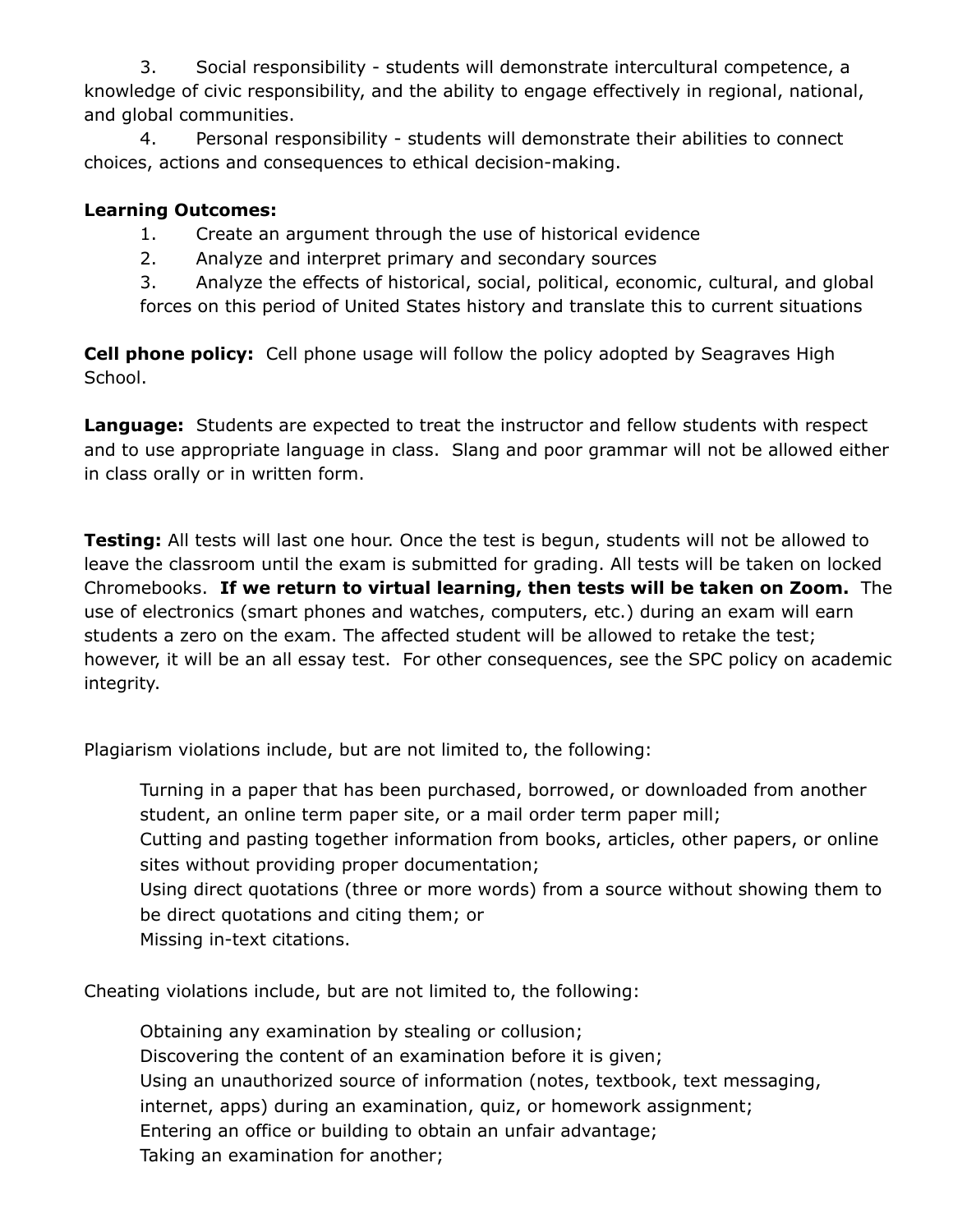3. Social responsibility - students will demonstrate intercultural competence, a knowledge of civic responsibility, and the ability to engage effectively in regional, national, and global communities.

4. Personal responsibility - students will demonstrate their abilities to connect choices, actions and consequences to ethical decision-making.

## **Learning Outcomes:**

- 1. Create an argument through the use of historical evidence
- 2. Analyze and interpret primary and secondary sources

3. Analyze the effects of historical, social, political, economic, cultural, and global forces on this period of United States history and translate this to current situations

**Cell phone policy:** Cell phone usage will follow the policy adopted by Seagraves High School.

**Language:** Students are expected to treat the instructor and fellow students with respect and to use appropriate language in class. Slang and poor grammar will not be allowed either in class orally or in written form.

**Testing:** All tests will last one hour. Once the test is begun, students will not be allowed to leave the classroom until the exam is submitted for grading. All tests will be taken on locked Chromebooks. **If we return to virtual learning, then tests will be taken on Zoom.** The use of electronics (smart phones and watches, computers, etc.) during an exam will earn students a zero on the exam. The affected student will be allowed to retake the test; however, it will be an all essay test. For other consequences, see the SPC policy on academic integrity.

Plagiarism violations include, but are not limited to, the following:

Turning in a paper that has been purchased, borrowed, or downloaded from another student, an online term paper site, or a mail order term paper mill;

Cutting and pasting together information from books, articles, other papers, or online sites without providing proper documentation;

Using direct quotations (three or more words) from a source without showing them to be direct quotations and citing them; or

Missing in-text citations.

Cheating violations include, but are not limited to, the following:

Obtaining any examination by stealing or collusion; Discovering the content of an examination before it is given; Using an unauthorized source of information (notes, textbook, text messaging, internet, apps) during an examination, quiz, or homework assignment; Entering an office or building to obtain an unfair advantage; Taking an examination for another;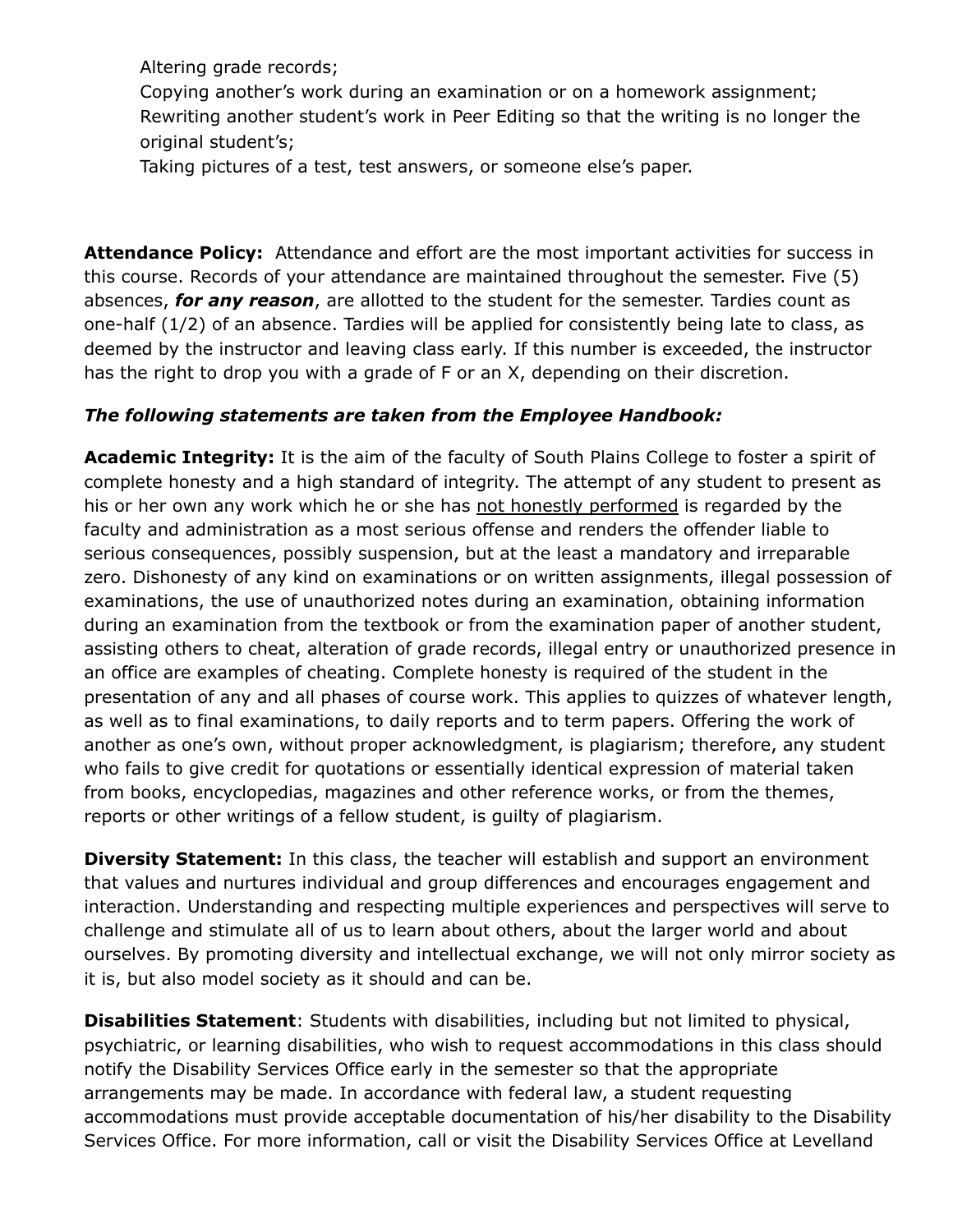Altering grade records;

Copying another's work during an examination or on a homework assignment; Rewriting another student's work in Peer Editing so that the writing is no longer the original student's;

Taking pictures of a test, test answers, or someone else's paper.

**Attendance Policy:** Attendance and effort are the most important activities for success in this course. Records of your attendance are maintained throughout the semester. Five (5) absences, *for any reason*, are allotted to the student for the semester. Tardies count as one-half (1/2) of an absence. Tardies will be applied for consistently being late to class, as deemed by the instructor and leaving class early. If this number is exceeded, the instructor has the right to drop you with a grade of F or an X, depending on their discretion.

## *The following statements are taken from the Employee Handbook:*

**Academic Integrity:** It is the aim of the faculty of South Plains College to foster a spirit of complete honesty and a high standard of integrity. The attempt of any student to present as his or her own any work which he or she has not honestly performed is regarded by the faculty and administration as a most serious offense and renders the offender liable to serious consequences, possibly suspension, but at the least a mandatory and irreparable zero. Dishonesty of any kind on examinations or on written assignments, illegal possession of examinations, the use of unauthorized notes during an examination, obtaining information during an examination from the textbook or from the examination paper of another student, assisting others to cheat, alteration of grade records, illegal entry or unauthorized presence in an office are examples of cheating. Complete honesty is required of the student in the presentation of any and all phases of course work. This applies to quizzes of whatever length, as well as to final examinations, to daily reports and to term papers. Offering the work of another as one's own, without proper acknowledgment, is plagiarism; therefore, any student who fails to give credit for quotations or essentially identical expression of material taken from books, encyclopedias, magazines and other reference works, or from the themes, reports or other writings of a fellow student, is guilty of plagiarism.

**Diversity Statement:** In this class, the teacher will establish and support an environment that values and nurtures individual and group differences and encourages engagement and interaction. Understanding and respecting multiple experiences and perspectives will serve to challenge and stimulate all of us to learn about others, about the larger world and about ourselves. By promoting diversity and intellectual exchange, we will not only mirror society as it is, but also model society as it should and can be.

**Disabilities Statement**: Students with disabilities, including but not limited to physical, psychiatric, or learning disabilities, who wish to request accommodations in this class should notify the Disability Services Office early in the semester so that the appropriate arrangements may be made. In accordance with federal law, a student requesting accommodations must provide acceptable documentation of his/her disability to the Disability Services Office. For more information, call or visit the Disability Services Office at Levelland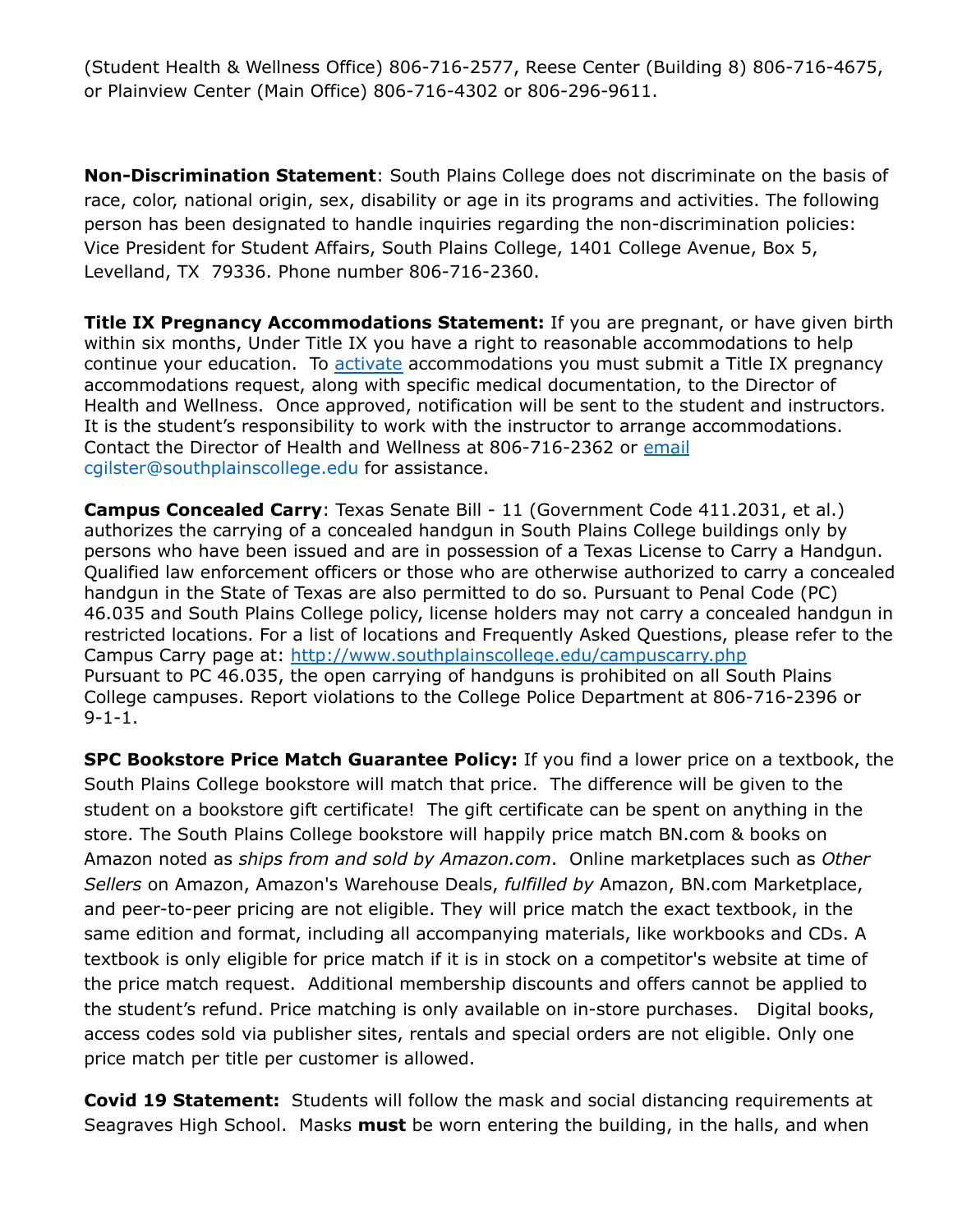(Student Health & Wellness Office) 806-716-2577, Reese Center (Building 8) 806-716-4675, or Plainview Center (Main Office) 806-716-4302 or 806-296-9611.

**Non-Discrimination Statement**: South Plains College does not discriminate on the basis of race, color, national origin, sex, disability or age in its programs and activities. The following person has been designated to handle inquiries regarding the non-discrimination policies: Vice President for Student Affairs, South Plains College, 1401 College Avenue, Box 5, Levelland, TX 79336. Phone number 806-716-2360.

**Title IX Pregnancy Accommodations Statement:** If you are pregnant, or have given birth within six months, Under Title IX you have a right to reasonable accommodations to help continue your education. To [activate](http://www.southplainscollege.edu/employees/manualshandbooks/facultyhandbook/sec4.php) accommodations you must submit a Title IX pregnancy accommodations request, along with specific medical documentation, to the Director of Health and Wellness. Once approved, notification will be sent to the student and instructors. It is the student's responsibility to work with the instructor to arrange accommodations. Contact the Director of Health and Wellness at 806-716-2362 or [email](http://www.southplainscollege.edu/employees/manualshandbooks/facultyhandbook/sec4.php) cgilster@southplainscollege.edu for assistance.

**Campus Concealed Carry**: Texas Senate Bill - 11 (Government Code 411.2031, et al.) authorizes the carrying of a concealed handgun in South Plains College buildings only by persons who have been issued and are in possession of a Texas License to Carry a Handgun. Qualified law enforcement officers or those who are otherwise authorized to carry a concealed handgun in the State of Texas are also permitted to do so. Pursuant to Penal Code (PC) 46.035 and South Plains College policy, license holders may not carry a concealed handgun in restricted locations. For a list of locations and Frequently Asked Questions, please refer to the Campus Carry page at: <http://www.southplainscollege.edu/campuscarry.php> Pursuant to PC 46.035, the open carrying of handguns is prohibited on all South Plains College campuses. Report violations to the College Police Department at 806-716-2396 or 9-1-1.

**SPC Bookstore Price Match Guarantee Policy:** If you find a lower price on a textbook, the South Plains College bookstore will match that price. The difference will be given to the student on a bookstore gift certificate! The gift certificate can be spent on anything in the store. The South Plains College bookstore will happily price match BN.com & books on Amazon noted as *ships from and sold by Amazon.com*. Online marketplaces such as *Other Sellers* on Amazon, Amazon's Warehouse Deals, *fulfilled by* Amazon, BN.com Marketplace, and peer-to-peer pricing are not eligible. They will price match the exact textbook, in the same edition and format, including all accompanying materials, like workbooks and CDs. A textbook is only eligible for price match if it is in stock on a competitor's website at time of the price match request. Additional membership discounts and offers cannot be applied to the student's refund. Price matching is only available on in-store purchases. Digital books, access codes sold via publisher sites, rentals and special orders are not eligible. Only one price match per title per customer is allowed.

**Covid 19 Statement:** Students will follow the mask and social distancing requirements at Seagraves High School. Masks **must** be worn entering the building, in the halls, and when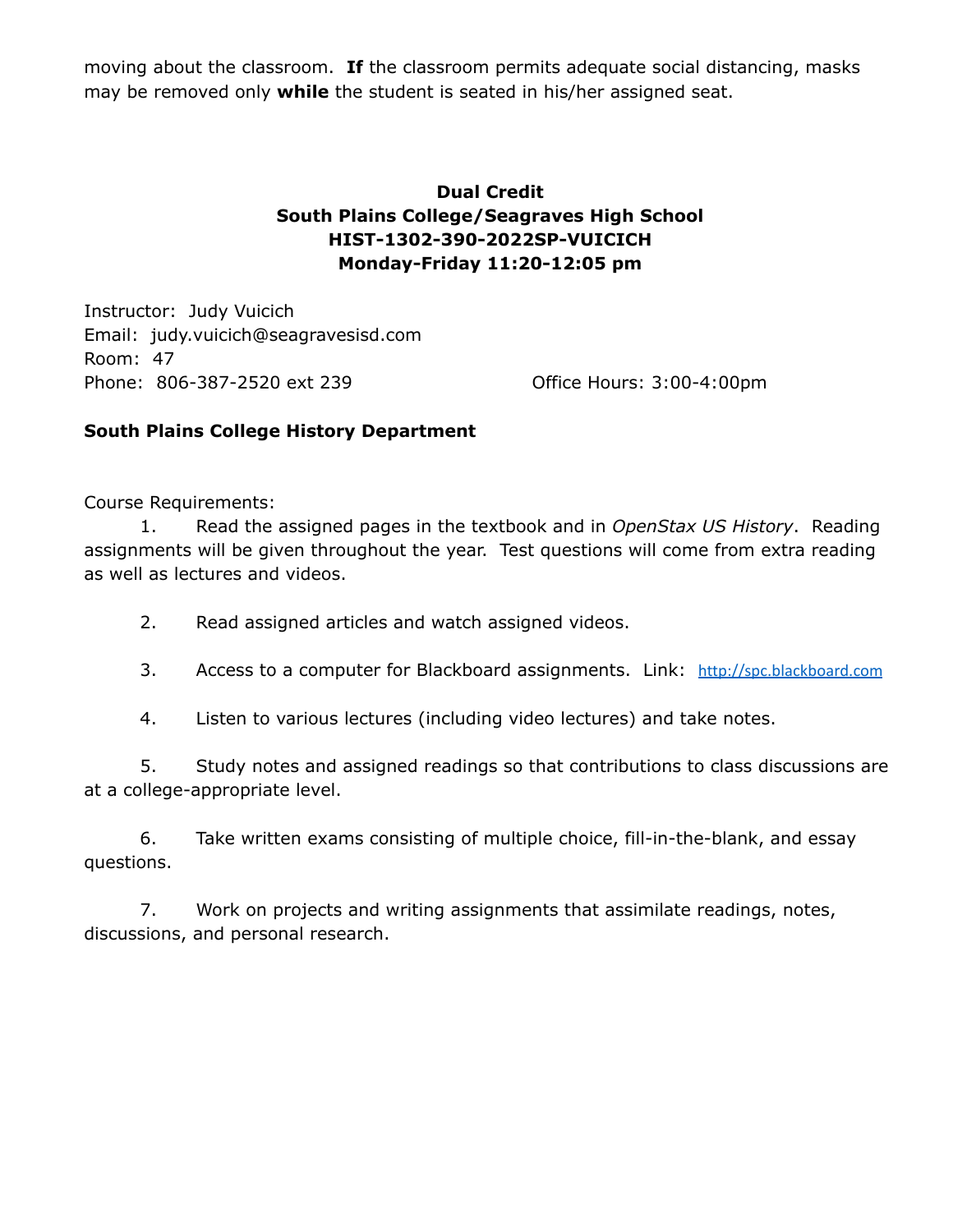moving about the classroom. **If** the classroom permits adequate social distancing, masks may be removed only **while** the student is seated in his/her assigned seat.

## **Dual Credit South Plains College/Seagraves High School HIST-1302-390-2022SP-VUICICH Monday-Friday 11:20-12:05 pm**

Instructor: Judy Vuicich Email: judy.vuicich@seagravesisd.com Room: 47 Phone: 806-387-2520 ext 239 Office Hours: 3:00-4:00pm

### **South Plains College History Department**

Course Requirements:

1. Read the assigned pages in the textbook and in *OpenStax US History*. Reading assignments will be given throughout the year. Test questions will come from extra reading as well as lectures and videos.

- 2. Read assigned articles and watch assigned videos.
- 3. Access to a computer for Blackboard assignments. Link: [http://spc.blackboard.com](http://spc.blackboard.com/)
- 4. Listen to various lectures (including video lectures) and take notes.

5. Study notes and assigned readings so that contributions to class discussions are at a college-appropriate level.

6. Take written exams consisting of multiple choice, fill-in-the-blank, and essay questions.

7. Work on projects and writing assignments that assimilate readings, notes, discussions, and personal research.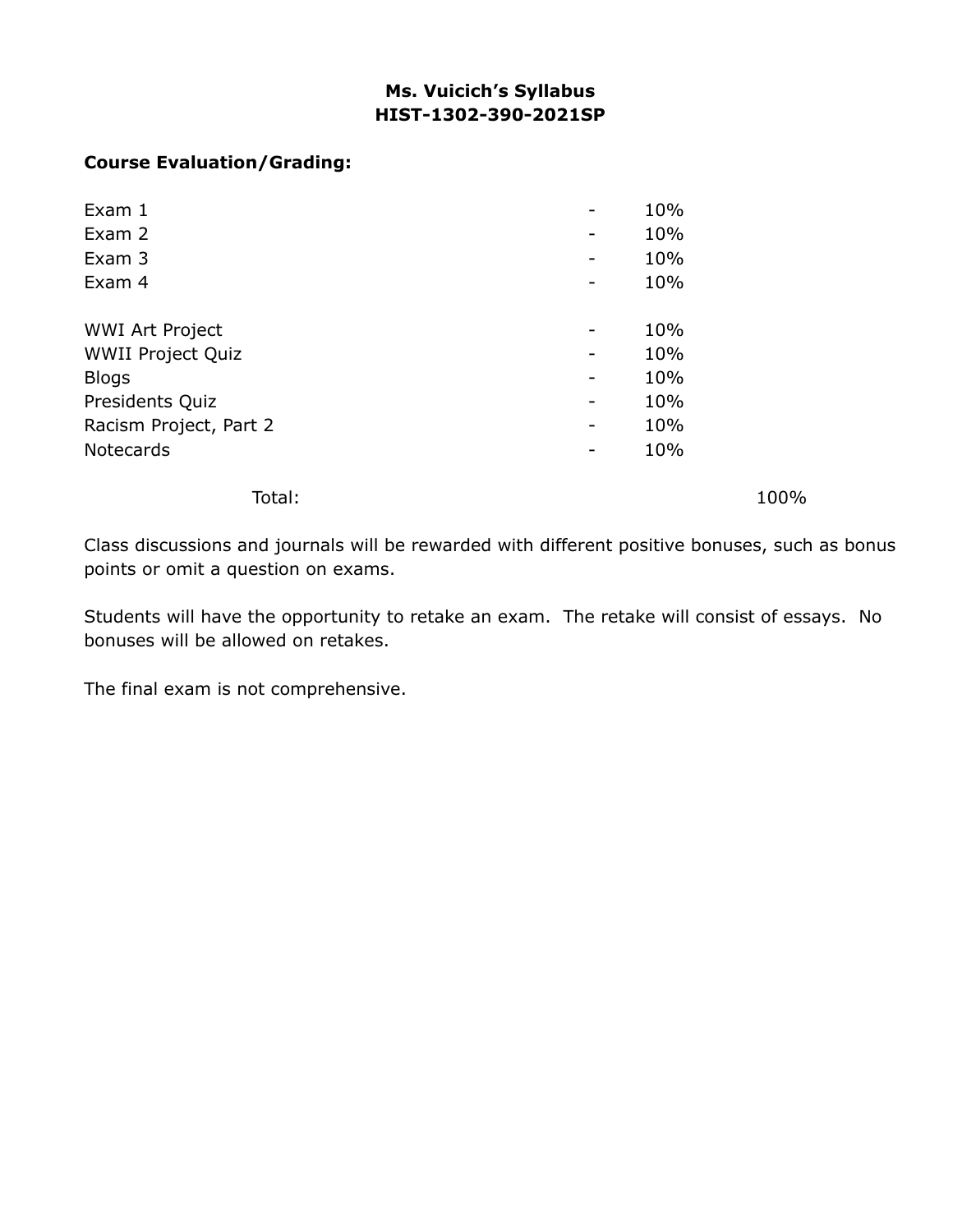# **Ms. Vuicich's Syllabus HIST-1302-390-2021SP**

### **Course Evaluation/Grading:**

| 10% |
|-----|
| 10% |
| 10% |
| 10% |
|     |
| 10% |
| 10% |
| 10% |
| 10% |
| 10% |
| 10% |
|     |

Total: 100%

Class discussions and journals will be rewarded with different positive bonuses, such as bonus points or omit a question on exams.

Students will have the opportunity to retake an exam. The retake will consist of essays. No bonuses will be allowed on retakes.

The final exam is not comprehensive.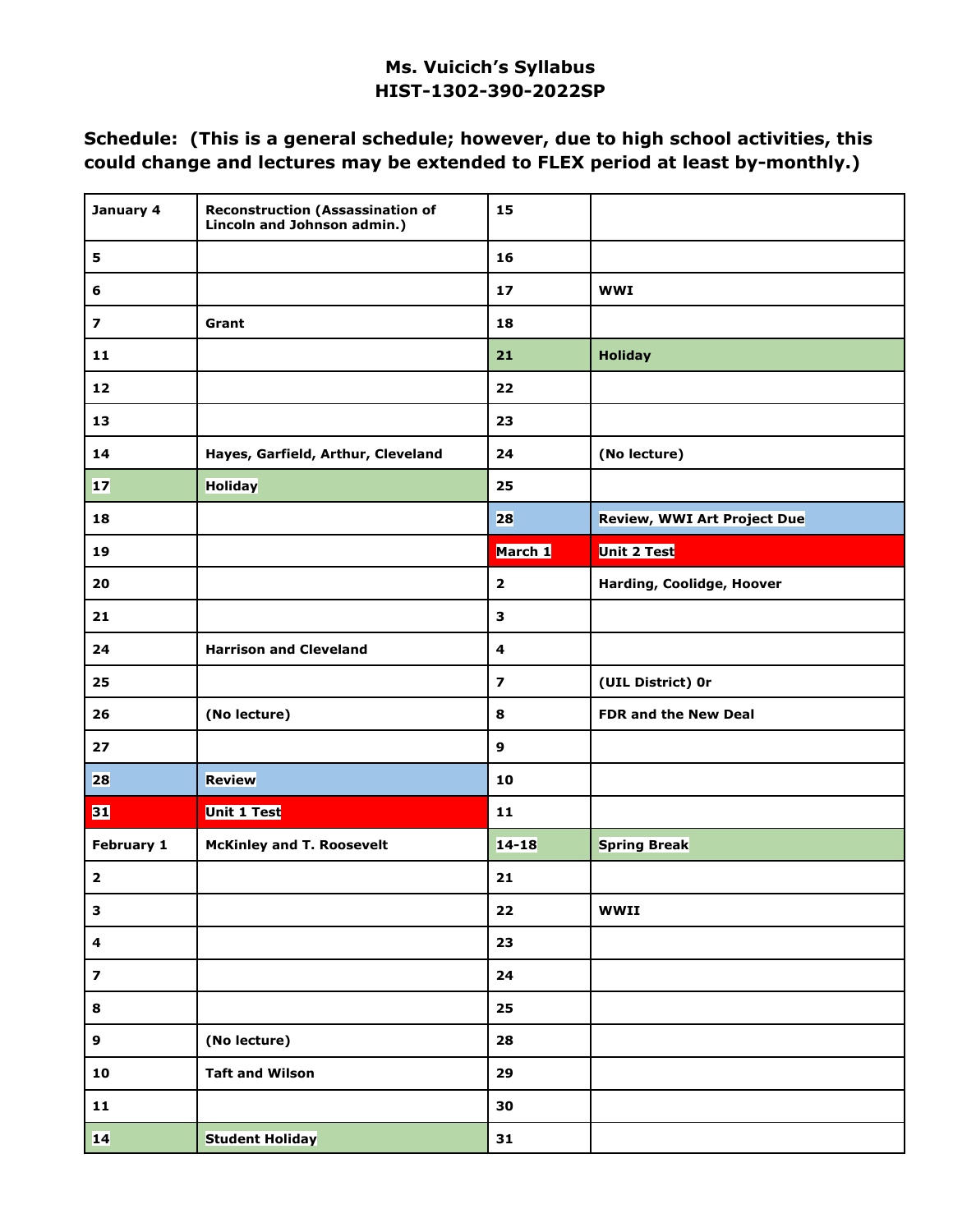## **Ms. Vuicich's Syllabus HIST-1302-390-2022SP**

## **Schedule: (This is a general schedule; however, due to high school activities, this could change and lectures may be extended to FLEX period at least by-monthly.)**

| January 4               | <b>Reconstruction (Assassination of</b><br>Lincoln and Johnson admin.) | 15                      |                                    |
|-------------------------|------------------------------------------------------------------------|-------------------------|------------------------------------|
| 5                       |                                                                        | 16                      |                                    |
| 6                       |                                                                        | 17                      | <b>WWI</b>                         |
| $\overline{\mathbf{z}}$ | Grant                                                                  | 18                      |                                    |
| 11                      |                                                                        | 21                      | <b>Holiday</b>                     |
| 12                      |                                                                        | 22                      |                                    |
| 13                      |                                                                        | 23                      |                                    |
| 14                      | Hayes, Garfield, Arthur, Cleveland                                     | 24                      | (No lecture)                       |
| $17$                    | <b>Holiday</b>                                                         | 25                      |                                    |
| 18                      |                                                                        | 28                      | <b>Review, WWI Art Project Due</b> |
| 19                      |                                                                        | March 1                 | <b>Unit 2 Test</b>                 |
| 20                      |                                                                        | $\overline{\mathbf{2}}$ | Harding, Coolidge, Hoover          |
| 21                      |                                                                        | 3                       |                                    |
| 24                      | <b>Harrison and Cleveland</b>                                          | 4                       |                                    |
| 25                      |                                                                        | $\overline{\mathbf{z}}$ | (UIL District) Or                  |
| 26                      | (No lecture)                                                           | 8                       | FDR and the New Deal               |
| 27                      |                                                                        | $\mathbf{9}$            |                                    |
| 28                      | Review                                                                 | 10                      |                                    |
| 31                      | <b>Unit 1 Test</b>                                                     | 11                      |                                    |
| February 1              | <b>McKinley and T. Roosevelt</b>                                       | $14 - 18$               | <b>Spring Break</b>                |
| $\mathbf{2}$            |                                                                        | 21                      |                                    |
| 3                       |                                                                        | 22                      | <b>WWII</b>                        |
| $\overline{\mathbf{4}}$ |                                                                        | 23                      |                                    |
| $\overline{\mathbf{z}}$ |                                                                        | 24                      |                                    |
| 8                       |                                                                        | 25                      |                                    |
| 9                       | (No lecture)                                                           | 28                      |                                    |
| ${\bf 10}$              | <b>Taft and Wilson</b>                                                 | 29                      |                                    |
| ${\bf 11}$              |                                                                        | 30                      |                                    |
| 14                      | <b>Student Holiday</b>                                                 | 31                      |                                    |